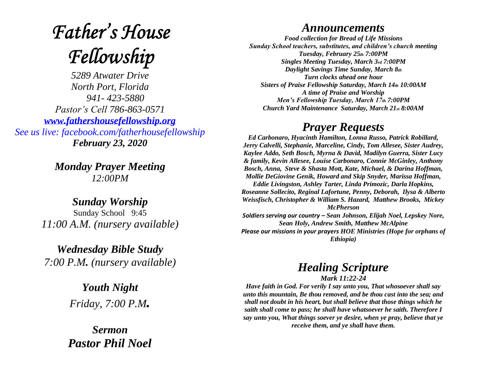# **Father's House** Fellowship

*5289 Atwater Drive North Port, Florida 941- 423-5880 Pastor's Cell 786-863-0571 [www.fathershousefellowship.org](http://www.fathershousefellowship.org/) See us live: facebook.com/fatherhousefellowship February 23, 2020*

> *Monday Prayer Meeting 12:00PM*

*Sunday Worship* Sunday School 9:45 *11:00 A.M. (nursery available)*

*Wednesday Bible Study 7:00 P.M. (nursery available)*

> *Youth Night Friday, 7:00 P.M.*

*Sermon Pastor Phil Noel*

## *Announcements*

*Food collection for Bread of Life Missions Sunday School teachers, substitutes, and children's church meeting Tuesday, February 25th 7:00PM Singles Meeting Tuesday, March 3rd 7:00PM Daylight Savings Time Sunday, March 8th Turn clocks ahead one hour Sisters of Praise Fellowship Saturday, March 14th 10:00AM A time of Praise and Worship Men's Fellowship Tuesday, March 17th 7:00PM Church Yard Maintenance Saturday, March 21st 8:00AM*

## *Prayer Requests*

*Ed Carbonaro, Hyacinth Hamilton, Lonna Russo, Patrick Robillard, Jerry Calvelli, Stephanie, Marceline, Cindy, Tom Allesee, Sister Audrey, Kaylee Addo, Seth Bosch, Myrna & David, Madilyn Guerra, Sister Lucy & family, Kevin Allesee, Louise Carbonaro, Connie McGinley, Anthony Bosch, Anna, Steve & Shasta Mott, Kate, Michael, & Darina Hoffman, Mollie DeGiovine Genik, Howard and Skip Snyder, Marissa Hoffman, Eddie Livingston, Ashley Tarter, Linda Primozic, Darla Hopkins, Roseanne Sollecito, Reginal Lafortune, Penny, Deborah, Ilysa & Alberto Weissfisch, Christopher & William S. Hazard, Matthew Brooks, Mickey McPherson Soldiers serving our country – Sean Johnson, Elijah Noel, Lepskey Nore, Sean Holy, Andrew Smith, Matthew McAlpine*

*Please our missions in your prayers HOE Ministries (Hope for orphans of Ethiopia)*

# *Healing Scripture*

### *Mark 11:22-24*

*Have faith in God. For verily I say unto you, That whosoever shall say unto this mountain, Be thou removed, and be thou cast into the sea; and shall not doubt in his heart, but shall believe that those things which he saith shall come to pass; he shall have whatsoever he saith. Therefore I say unto you, What things soever ye desire, when ye pray, believe that ye receive them, and ye shall have them.*